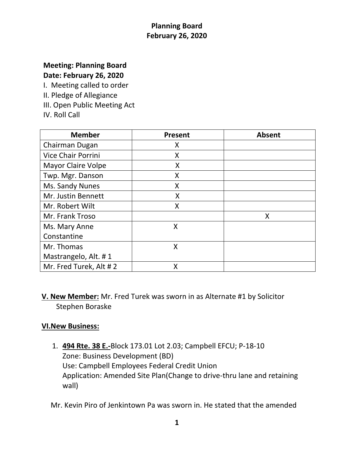# **Meeting: Planning Board Date: February 26, 2020**

I. Meeting called to order

- II. Pledge of Allegiance
- III. Open Public Meeting Act
- IV. Roll Call

| <b>Member</b>             | <b>Present</b> | <b>Absent</b> |
|---------------------------|----------------|---------------|
| Chairman Dugan            | Χ              |               |
| <b>Vice Chair Porrini</b> | Χ              |               |
| <b>Mayor Claire Volpe</b> | X              |               |
| Twp. Mgr. Danson          | X              |               |
| Ms. Sandy Nunes           | Χ              |               |
| Mr. Justin Bennett        | X              |               |
| Mr. Robert Wilt           | X              |               |
| Mr. Frank Troso           |                | X             |
| Ms. Mary Anne             | X              |               |
| Constantine               |                |               |
| Mr. Thomas                | X              |               |
| Mastrangelo, Alt. #1      |                |               |
| Mr. Fred Turek, Alt #2    | X              |               |

**V. New Member:** Mr. Fred Turek was sworn in as Alternate #1 by Solicitor Stephen Boraske

## **VI.New Business:**

1. **494 Rte. 38 E.-**Block 173.01 Lot 2.03; Campbell EFCU; P-18-10 Zone: Business Development (BD) Use: Campbell Employees Federal Credit Union Application: Amended Site Plan(Change to drive-thru lane and retaining wall)

Mr. Kevin Piro of Jenkintown Pa was sworn in. He stated that the amended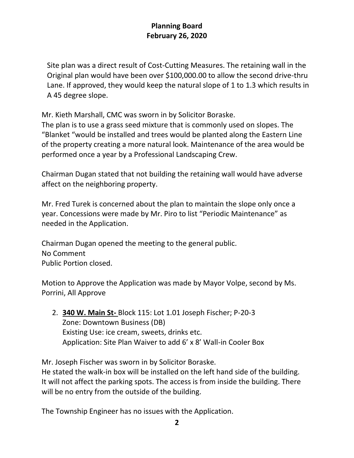Site plan was a direct result of Cost-Cutting Measures. The retaining wall in the Original plan would have been over \$100,000.00 to allow the second drive-thru Lane. If approved, they would keep the natural slope of 1 to 1.3 which results in A 45 degree slope.

Mr. Kieth Marshall, CMC was sworn in by Solicitor Boraske.

The plan is to use a grass seed mixture that is commonly used on slopes. The "Blanket "would be installed and trees would be planted along the Eastern Line of the property creating a more natural look. Maintenance of the area would be performed once a year by a Professional Landscaping Crew.

Chairman Dugan stated that not building the retaining wall would have adverse affect on the neighboring property.

Mr. Fred Turek is concerned about the plan to maintain the slope only once a year. Concessions were made by Mr. Piro to list "Periodic Maintenance" as needed in the Application.

Chairman Dugan opened the meeting to the general public. No Comment Public Portion closed.

Motion to Approve the Application was made by Mayor Volpe, second by Ms. Porrini, All Approve

2. **340 W. Main St-** Block 115: Lot 1.01 Joseph Fischer; P-20-3 Zone: Downtown Business (DB) Existing Use: ice cream, sweets, drinks etc. Application: Site Plan Waiver to add 6' x 8' Wall-in Cooler Box

Mr. Joseph Fischer was sworn in by Solicitor Boraske.

He stated the walk-in box will be installed on the left hand side of the building. It will not affect the parking spots. The access is from inside the building. There will be no entry from the outside of the building.

The Township Engineer has no issues with the Application.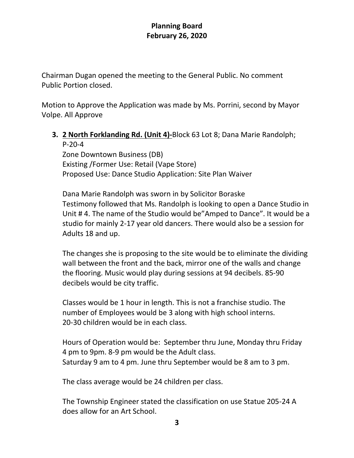Chairman Dugan opened the meeting to the General Public. No comment Public Portion closed.

Motion to Approve the Application was made by Ms. Porrini, second by Mayor Volpe. All Approve

# **3. 2 North Forklanding Rd. (Unit 4)-**Block 63 Lot 8; Dana Marie Randolph; P-20-4

Zone Downtown Business (DB) Existing /Former Use: Retail (Vape Store) Proposed Use: Dance Studio Application: Site Plan Waiver

Dana Marie Randolph was sworn in by Solicitor Boraske Testimony followed that Ms. Randolph is looking to open a Dance Studio in Unit # 4. The name of the Studio would be"Amped to Dance". It would be a studio for mainly 2-17 year old dancers. There would also be a session for Adults 18 and up.

The changes she is proposing to the site would be to eliminate the dividing wall between the front and the back, mirror one of the walls and change the flooring. Music would play during sessions at 94 decibels. 85-90 decibels would be city traffic.

Classes would be 1 hour in length. This is not a franchise studio. The number of Employees would be 3 along with high school interns. 20-30 children would be in each class.

Hours of Operation would be: September thru June, Monday thru Friday 4 pm to 9pm. 8-9 pm would be the Adult class. Saturday 9 am to 4 pm. June thru September would be 8 am to 3 pm.

The class average would be 24 children per class.

The Township Engineer stated the classification on use Statue 205-24 A does allow for an Art School.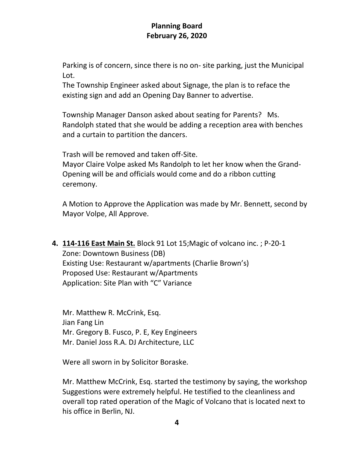Parking is of concern, since there is no on- site parking, just the Municipal Lot.

The Township Engineer asked about Signage, the plan is to reface the existing sign and add an Opening Day Banner to advertise.

Township Manager Danson asked about seating for Parents? Ms. Randolph stated that she would be adding a reception area with benches and a curtain to partition the dancers.

Trash will be removed and taken off-Site.

Mayor Claire Volpe asked Ms Randolph to let her know when the Grand-Opening will be and officials would come and do a ribbon cutting ceremony.

A Motion to Approve the Application was made by Mr. Bennett, second by Mayor Volpe, All Approve.

**4. 114-116 East Main St.** Block 91 Lot 15;Magic of volcano inc. ; P-20-1 Zone: Downtown Business (DB) Existing Use: Restaurant w/apartments (Charlie Brown's) Proposed Use: Restaurant w/Apartments Application: Site Plan with "C" Variance

Mr. Matthew R. McCrink, Esq. Jian Fang Lin Mr. Gregory B. Fusco, P. E, Key Engineers Mr. Daniel Joss R.A. DJ Architecture, LLC

Were all sworn in by Solicitor Boraske.

Mr. Matthew McCrink, Esq. started the testimony by saying, the workshop Suggestions were extremely helpful. He testified to the cleanliness and overall top rated operation of the Magic of Volcano that is located next to his office in Berlin, NJ.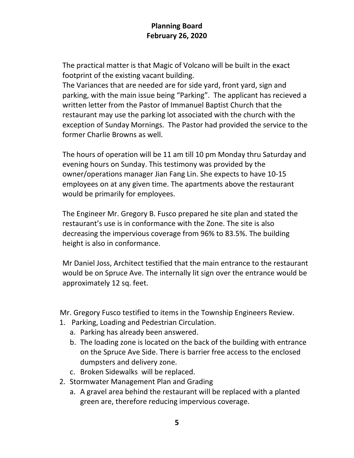The practical matter is that Magic of Volcano will be built in the exact footprint of the existing vacant building.

The Variances that are needed are for side yard, front yard, sign and parking, with the main issue being "Parking". The applicant has recieved a written letter from the Pastor of Immanuel Baptist Church that the restaurant may use the parking lot associated with the church with the exception of Sunday Mornings. The Pastor had provided the service to the former Charlie Browns as well.

The hours of operation will be 11 am till 10 pm Monday thru Saturday and evening hours on Sunday. This testimony was provided by the owner/operations manager Jian Fang Lin. She expects to have 10-15 employees on at any given time. The apartments above the restaurant would be primarily for employees.

The Engineer Mr. Gregory B. Fusco prepared he site plan and stated the restaurant's use is in conformance with the Zone. The site is also decreasing the impervious coverage from 96% to 83.5%. The building height is also in conformance.

Mr Daniel Joss, Architect testified that the main entrance to the restaurant would be on Spruce Ave. The internally lit sign over the entrance would be approximately 12 sq. feet.

Mr. Gregory Fusco testified to items in the Township Engineers Review.

- 1. Parking, Loading and Pedestrian Circulation.
	- a. Parking has already been answered.
	- b. The loading zone is located on the back of the building with entrance on the Spruce Ave Side. There is barrier free access to the enclosed dumpsters and delivery zone.
	- c. Broken Sidewalks will be replaced.
- 2. Stormwater Management Plan and Grading
	- a. A gravel area behind the restaurant will be replaced with a planted green are, therefore reducing impervious coverage.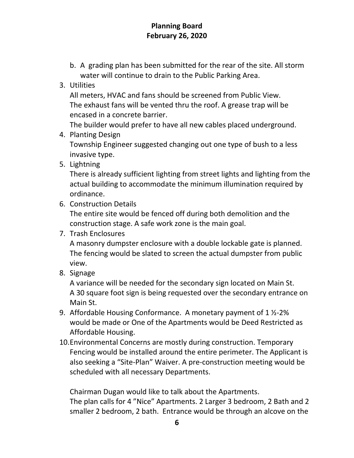- b. A grading plan has been submitted for the rear of the site. All storm water will continue to drain to the Public Parking Area.
- 3. Utilities

All meters, HVAC and fans should be screened from Public View. The exhaust fans will be vented thru the roof. A grease trap will be encased in a concrete barrier.

The builder would prefer to have all new cables placed underground.

4. Planting Design

Township Engineer suggested changing out one type of bush to a less invasive type.

5. Lightning

There is already sufficient lighting from street lights and lighting from the actual building to accommodate the minimum illumination required by ordinance.

6. Construction Details

The entire site would be fenced off during both demolition and the construction stage. A safe work zone is the main goal.

7. Trash Enclosures

A masonry dumpster enclosure with a double lockable gate is planned. The fencing would be slated to screen the actual dumpster from public view.

8. Signage

A variance will be needed for the secondary sign located on Main St. A 30 square foot sign is being requested over the secondary entrance on Main St.

- 9. Affordable Housing Conformance. A monetary payment of 1 ½-2% would be made or One of the Apartments would be Deed Restricted as Affordable Housing.
- 10.Environmental Concerns are mostly during construction. Temporary Fencing would be installed around the entire perimeter. The Applicant is also seeking a "Site-Plan" Waiver. A pre-construction meeting would be scheduled with all necessary Departments.

Chairman Dugan would like to talk about the Apartments.

The plan calls for 4 "Nice" Apartments. 2 Larger 3 bedroom, 2 Bath and 2 smaller 2 bedroom, 2 bath. Entrance would be through an alcove on the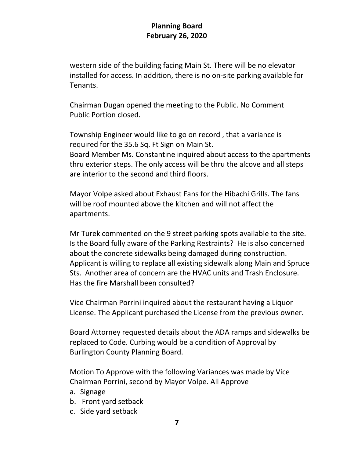western side of the building facing Main St. There will be no elevator installed for access. In addition, there is no on-site parking available for Tenants.

Chairman Dugan opened the meeting to the Public. No Comment Public Portion closed.

Township Engineer would like to go on record , that a variance is required for the 35.6 Sq. Ft Sign on Main St. Board Member Ms. Constantine inquired about access to the apartments thru exterior steps. The only access will be thru the alcove and all steps are interior to the second and third floors.

Mayor Volpe asked about Exhaust Fans for the Hibachi Grills. The fans will be roof mounted above the kitchen and will not affect the apartments.

Mr Turek commented on the 9 street parking spots available to the site. Is the Board fully aware of the Parking Restraints? He is also concerned about the concrete sidewalks being damaged during construction. Applicant is willing to replace all existing sidewalk along Main and Spruce Sts. Another area of concern are the HVAC units and Trash Enclosure. Has the fire Marshall been consulted?

Vice Chairman Porrini inquired about the restaurant having a Liquor License. The Applicant purchased the License from the previous owner.

Board Attorney requested details about the ADA ramps and sidewalks be replaced to Code. Curbing would be a condition of Approval by Burlington County Planning Board.

Motion To Approve with the following Variances was made by Vice Chairman Porrini, second by Mayor Volpe. All Approve

- a. Signage
- b. Front yard setback
- c. Side yard setback